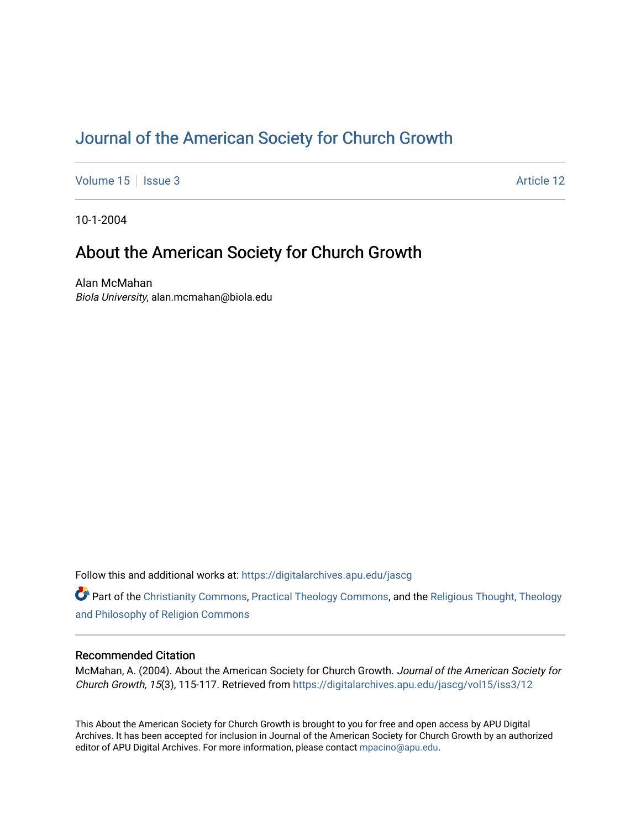# [Journal of the American Society for Church Growth](https://digitalarchives.apu.edu/jascg)

[Volume 15](https://digitalarchives.apu.edu/jascg/vol15) | [Issue 3](https://digitalarchives.apu.edu/jascg/vol15/iss3) Article 12

10-1-2004

## About the American Society for Church Growth

Alan McMahan Biola University, alan.mcmahan@biola.edu

Follow this and additional works at: [https://digitalarchives.apu.edu/jascg](https://digitalarchives.apu.edu/jascg?utm_source=digitalarchives.apu.edu%2Fjascg%2Fvol15%2Fiss3%2F12&utm_medium=PDF&utm_campaign=PDFCoverPages) 

Part of the [Christianity Commons,](http://network.bepress.com/hgg/discipline/1181?utm_source=digitalarchives.apu.edu%2Fjascg%2Fvol15%2Fiss3%2F12&utm_medium=PDF&utm_campaign=PDFCoverPages) [Practical Theology Commons](http://network.bepress.com/hgg/discipline/1186?utm_source=digitalarchives.apu.edu%2Fjascg%2Fvol15%2Fiss3%2F12&utm_medium=PDF&utm_campaign=PDFCoverPages), and the [Religious Thought, Theology](http://network.bepress.com/hgg/discipline/544?utm_source=digitalarchives.apu.edu%2Fjascg%2Fvol15%2Fiss3%2F12&utm_medium=PDF&utm_campaign=PDFCoverPages)  [and Philosophy of Religion Commons](http://network.bepress.com/hgg/discipline/544?utm_source=digitalarchives.apu.edu%2Fjascg%2Fvol15%2Fiss3%2F12&utm_medium=PDF&utm_campaign=PDFCoverPages)

### Recommended Citation

McMahan, A. (2004). About the American Society for Church Growth. Journal of the American Society for Church Growth, 15(3), 115-117. Retrieved from [https://digitalarchives.apu.edu/jascg/vol15/iss3/12](https://digitalarchives.apu.edu/jascg/vol15/iss3/12?utm_source=digitalarchives.apu.edu%2Fjascg%2Fvol15%2Fiss3%2F12&utm_medium=PDF&utm_campaign=PDFCoverPages) 

This About the American Society for Church Growth is brought to you for free and open access by APU Digital Archives. It has been accepted for inclusion in Journal of the American Society for Church Growth by an authorized editor of APU Digital Archives. For more information, please contact [mpacino@apu.edu.](mailto:mpacino@apu.edu)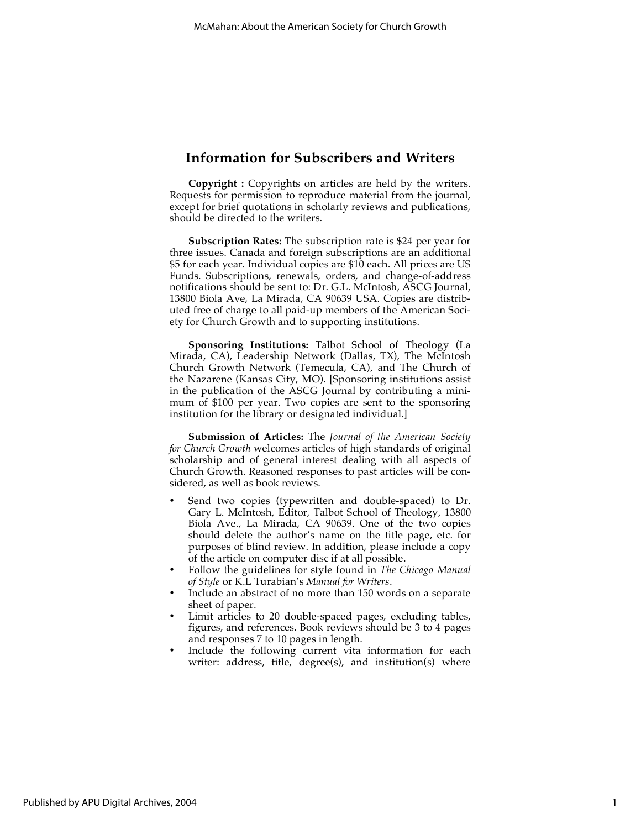### **Information for Subscribers and Writers**

**Copyright :** Copyrights on articles are held by the writers. Requests for permission to reproduce material from the journal, except for brief quotations in scholarly reviews and publications, should be directed to the writers.

**Subscription Rates:** The subscription rate is \$24 per year for three issues. Canada and foreign subscriptions are an additional \$5 for each year. Individual copies are \$10 each. All prices are US Funds. Subscriptions, renewals, orders, and change-of-address notifications should be sent to: Dr. G.L. McIntosh, ASCG Journal, 13800 Biola Ave, La Mirada, CA 90639 USA. Copies are distributed free of charge to all paid-up members of the American Society for Church Growth and to supporting institutions.

**Sponsoring Institutions:** Talbot School of Theology (La Mirada, CA), Leadership Network (Dallas, TX), The McIntosh Church Growth Network (Temecula, CA), and The Church of the Nazarene (Kansas City, MO). [Sponsoring institutions assist in the publication of the ASCG Journal by contributing a minimum of \$100 per year. Two copies are sent to the sponsoring institution for the library or designated individual.]

**Submission of Articles:** The *Journal of the American Society for Church Growth* welcomes articles of high standards of original scholarship and of general interest dealing with all aspects of Church Growth. Reasoned responses to past articles will be considered, as well as book reviews.

- Send two copies (typewritten and double-spaced) to Dr. Gary L. McIntosh, Editor, Talbot School of Theology, 13800 Biola Ave., La Mirada, CA 90639. One of the two copies should delete the author's name on the title page, etc. for purposes of blind review. In addition, please include a copy of the article on computer disc if at all possible.
- Follow the guidelines for style found in *The Chicago Manual of Style* or K.L Turabian's *Manual for Writers*.
- Include an abstract of no more than 150 words on a separate sheet of paper.
- Limit articles to 20 double-spaced pages, excluding tables, figures, and references. Book reviews should be 3 to 4 pages and responses 7 to 10 pages in length.
- Include the following current vita information for each writer: address, title, degree(s), and institution(s) where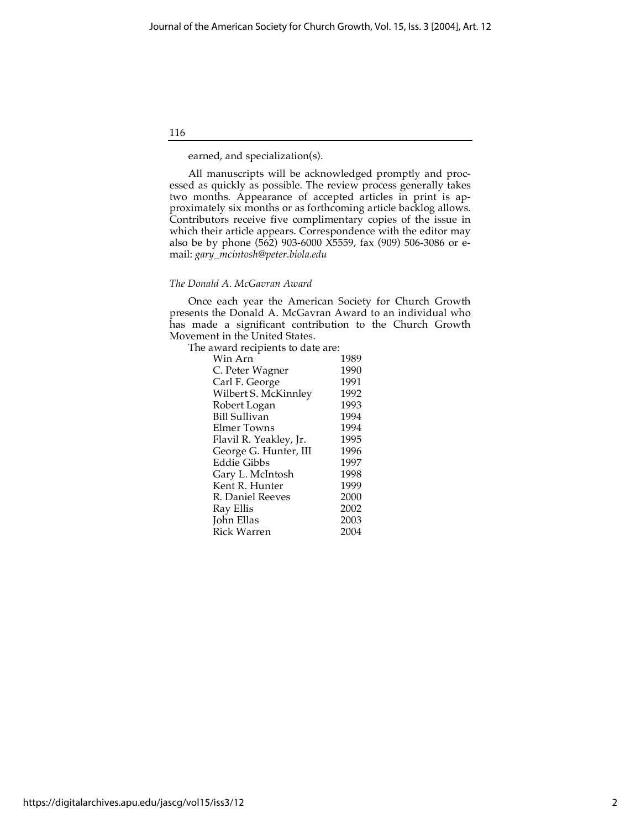116

earned, and specialization(s).

All manuscripts will be acknowledged promptly and processed as quickly as possible. The review process generally takes two months. Appearance of accepted articles in print is approximately six months or as forthcoming article backlog allows. Contributors receive five complimentary copies of the issue in which their article appears. Correspondence with the editor may also be by phone (562) 903-6000 X5559, fax (909) 506-3086 or email: *gary\_mcintosh@peter.biola.edu*

### *The Donald A. McGavran Award*

Once each year the American Society for Church Growth presents the Donald A. McGavran Award to an individual who has made a significant contribution to the Church Growth Movement in the United States.

The award recipients to date are:

| 1989 |
|------|
| 1990 |
| 1991 |
| 1992 |
| 1993 |
| 1994 |
| 1994 |
| 1995 |
| 1996 |
| 1997 |
| 1998 |
| 1999 |
| 2000 |
| 2002 |
| 2003 |
| 2004 |
|      |